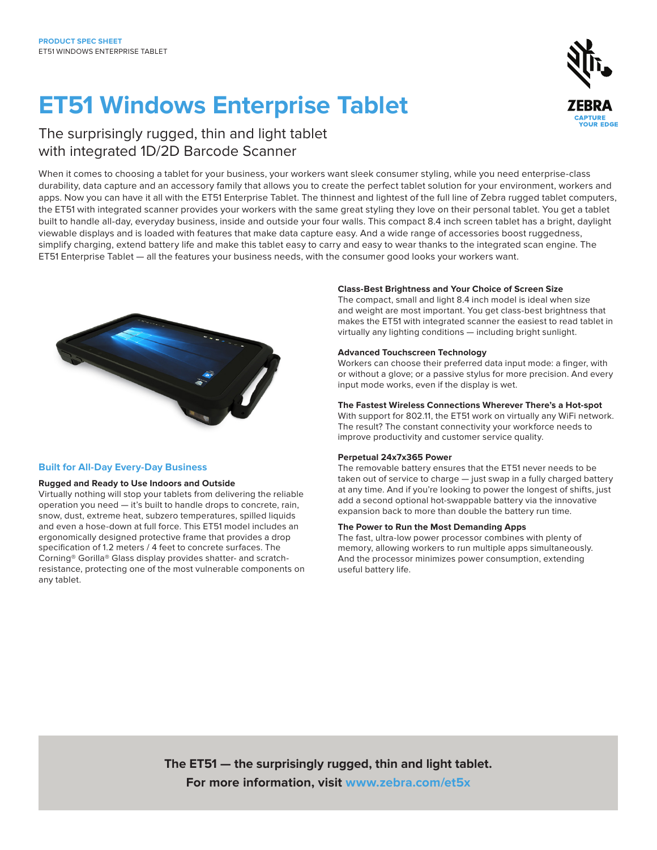# **ET51 Windows Enterprise Tablet**



### The surprisingly rugged, thin and light tablet with integrated 1D/2D Barcode Scanner

When it comes to choosing a tablet for your business, your workers want sleek consumer styling, while you need enterprise-class durability, data capture and an accessory family that allows you to create the perfect tablet solution for your environment, workers and apps. Now you can have it all with the ET51 Enterprise Tablet. The thinnest and lightest of the full line of Zebra rugged tablet computers, the ET51 with integrated scanner provides your workers with the same great styling they love on their personal tablet. You get a tablet built to handle all-day, everyday business, inside and outside your four walls. This compact 8.4 inch screen tablet has a bright, daylight viewable displays and is loaded with features that make data capture easy. And a wide range of accessories boost ruggedness, simplify charging, extend battery life and make this tablet easy to carry and easy to wear thanks to the integrated scan engine. The ET51 Enterprise Tablet — all the features your business needs, with the consumer good looks your workers want.



#### **Built for All-Day Every-Day Business**

#### **Rugged and Ready to Use Indoors and Outside**

Virtually nothing will stop your tablets from delivering the reliable operation you need — it's built to handle drops to concrete, rain, snow, dust, extreme heat, subzero temperatures, spilled liquids and even a hose-down at full force. This ET51 model includes an ergonomically designed protective frame that provides a drop specification of 1.2 meters / 4 feet to concrete surfaces. The Corning® Gorilla® Glass display provides shatter- and scratchresistance, protecting one of the most vulnerable components on any tablet.

#### **Class-Best Brightness and Your Choice of Screen Size**

The compact, small and light 8.4 inch model is ideal when size and weight are most important. You get class-best brightness that makes the ET51 with integrated scanner the easiest to read tablet in virtually any lighting conditions — including bright sunlight.

#### **Advanced Touchscreen Technology**

Workers can choose their preferred data input mode: a finger, with or without a glove; or a passive stylus for more precision. And every input mode works, even if the display is wet.

#### **The Fastest Wireless Connections Wherever There's a Hot-spot**

With support for 802.11, the ET51 work on virtually any WiFi network. The result? The constant connectivity your workforce needs to improve productivity and customer service quality.

#### **Perpetual 24x7x365 Power**

The removable battery ensures that the ET51 never needs to be taken out of service to charge — just swap in a fully charged battery at any time. And if you're looking to power the longest of shifts, just add a second optional hot-swappable battery via the innovative expansion back to more than double the battery run time.

#### **The Power to Run the Most Demanding Apps**

The fast, ultra-low power processor combines with plenty of memory, allowing workers to run multiple apps simultaneously. And the processor minimizes power consumption, extending useful battery life.

**The ET51 — the surprisingly rugged, thin and light tablet. For more information, visit [www.zebra.com/et5x](http://www.zebra.com/et5x)**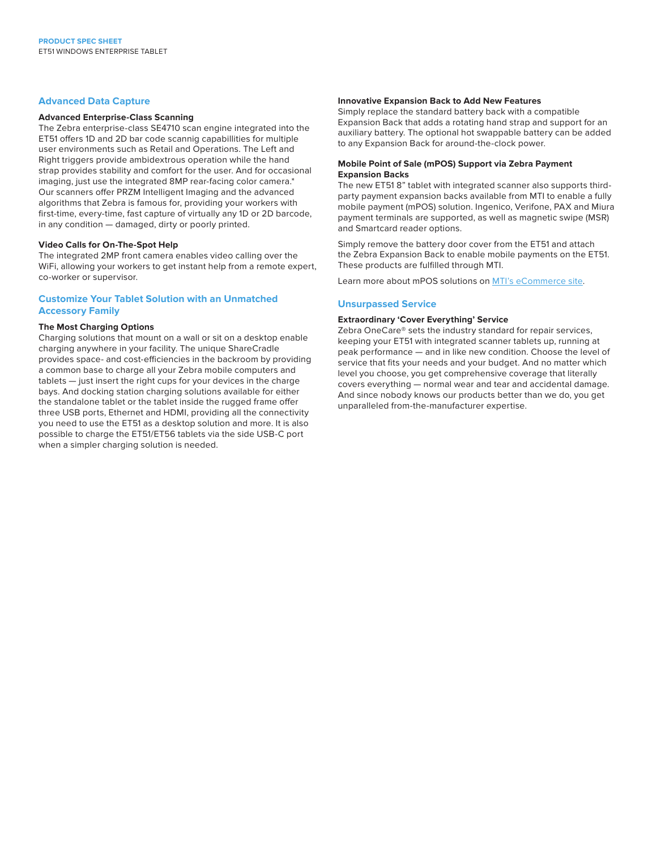#### **Advanced Data Capture**

#### **Advanced Enterprise-Class Scanning**

The Zebra enterprise-class SE4710 scan engine integrated into the ET51 offers 1D and 2D bar code scannig capabillities for multiple user environments such as Retail and Operations. The Left and Right triggers provide ambidextrous operation while the hand strap provides stability and comfort for the user. And for occasional imaging, just use the integrated 8MP rear-facing color camera.\* Our scanners offer PRZM Intelligent Imaging and the advanced algorithms that Zebra is famous for, providing your workers with first-time, every-time, fast capture of virtually any 1D or 2D barcode, in any condition — damaged, dirty or poorly printed.

#### **Video Calls for On-The-Spot Help**

The integrated 2MP front camera enables video calling over the WiFi, allowing your workers to get instant help from a remote expert, co-worker or supervisor.

#### **Customize Your Tablet Solution with an Unmatched Accessory Family**

#### **The Most Charging Options**

Charging solutions that mount on a wall or sit on a desktop enable charging anywhere in your facility. The unique ShareCradle provides space- and cost-efficiencies in the backroom by providing a common base to charge all your Zebra mobile computers and tablets — just insert the right cups for your devices in the charge bays. And docking station charging solutions available for either the standalone tablet or the tablet inside the rugged frame offer three USB ports, Ethernet and HDMI, providing all the connectivity you need to use the ET51 as a desktop solution and more. It is also possible to charge the ET51/ET56 tablets via the side USB-C port when a simpler charging solution is needed.

#### **Innovative Expansion Back to Add New Features**

Simply replace the standard battery back with a compatible Expansion Back that adds a rotating hand strap and support for an auxiliary battery. The optional hot swappable battery can be added to any Expansion Back for around-the-clock power.

#### **Mobile Point of Sale (mPOS) Support via Zebra Payment Expansion Backs**

The new ET51 8" tablet with integrated scanner also supports thirdparty payment expansion backs available from MTI to enable a fully mobile payment (mPOS) solution. Ingenico, Verifone, PAX and Miura payment terminals are supported, as well as magnetic swipe (MSR) and Smartcard reader options.

Simply remove the battery door cover from the ET51 and attach the Zebra Expansion Back to enable mobile payments on the ET51. These products are fulfilled through MTI.

Learn more about mPOS solutions on [MTI's eCommerce site](https://www.armoractive.com/products/zebra-tablet-case.aspx).

#### **Unsurpassed Service**

#### **Extraordinary 'Cover Everything' Service**

Zebra OneCare® sets the industry standard for repair services, keeping your ET51 with integrated scanner tablets up, running at peak performance — and in like new condition. Choose the level of service that fits your needs and your budget. And no matter which level you choose, you get comprehensive coverage that literally covers everything — normal wear and tear and accidental damage. And since nobody knows our products better than we do, you get unparalleled from-the-manufacturer expertise.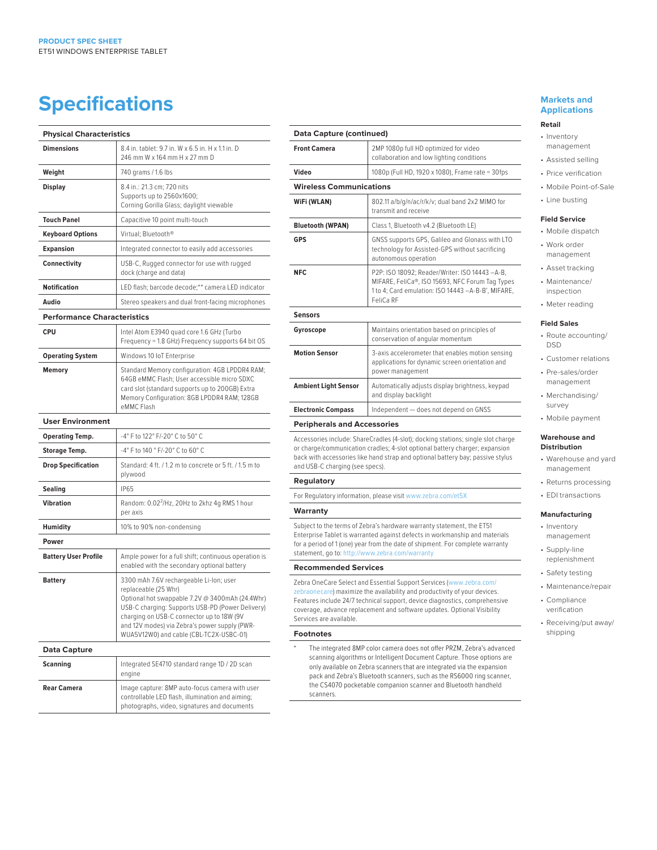## **Specifications**

| <b>Physical Characteristics</b>    |                                                                                                                                                                                                                                                                                                                 |
|------------------------------------|-----------------------------------------------------------------------------------------------------------------------------------------------------------------------------------------------------------------------------------------------------------------------------------------------------------------|
| <b>Dimensions</b>                  | 8.4 in. tablet: 9.7 in. W x 6.5 in. H x 1.1 in. D<br>246 mm W x 164 mm H x 27 mm D                                                                                                                                                                                                                              |
| Weight                             | 740 grams / 1.6 lbs                                                                                                                                                                                                                                                                                             |
| <b>Display</b>                     | 8.4 in.: 21.3 cm; 720 nits<br>Supports up to 2560x1600;<br>Corning Gorilla Glass; daylight viewable                                                                                                                                                                                                             |
| <b>Touch Panel</b>                 | Capacitive 10 point multi-touch                                                                                                                                                                                                                                                                                 |
| <b>Keyboard Options</b>            | Virtual: Bluetooth®                                                                                                                                                                                                                                                                                             |
| <b>Expansion</b>                   | Integrated connector to easily add accessories                                                                                                                                                                                                                                                                  |
| Connectivity                       | USB-C, Rugged connector for use with rugged<br>dock (charge and data)                                                                                                                                                                                                                                           |
| <b>Notification</b>                | LED flash; barcode decode;** camera LED indicator                                                                                                                                                                                                                                                               |
| Audio                              | Stereo speakers and dual front-facing microphones                                                                                                                                                                                                                                                               |
| <b>Performance Characteristics</b> |                                                                                                                                                                                                                                                                                                                 |
| CPU                                | Intel Atom E3940 quad core 1.6 GHz (Turbo<br>Frequency = 1.8 GHz) Frequency supports 64 bit OS                                                                                                                                                                                                                  |
| <b>Operating System</b>            | Windows 10 IoT Enterprise                                                                                                                                                                                                                                                                                       |
| Memory                             | Standard Memory configuration: 4GB LPDDR4 RAM;<br>64GB eMMC Flash; User accessible micro SDXC<br>card slot (standard supports up to 200GB) Extra<br>Memory Configuration: 8GB LPDDR4 RAM; 128GB<br>eMMC Flash                                                                                                   |
| <b>User Environment</b>            |                                                                                                                                                                                                                                                                                                                 |
| <b>Operating Temp.</b>             | -4° F to 122° F/-20° C to 50° C                                                                                                                                                                                                                                                                                 |
| <b>Storage Temp.</b>               | -4° F to 140 ° F/-20° C to 60° C                                                                                                                                                                                                                                                                                |
| <b>Drop Specification</b>          | Standard: 4 ft. / 1.2 m to concrete or 5 ft. / 1.5 m to<br>plywood                                                                                                                                                                                                                                              |
| <b>Sealing</b>                     | <b>IP65</b>                                                                                                                                                                                                                                                                                                     |
| <b>Vibration</b>                   | Random: 0.02 <sup>2</sup> /Hz, 20Hz to 2khz 4g RMS 1 hour<br>per axis                                                                                                                                                                                                                                           |
| <b>Humidity</b>                    | 10% to 90% non-condensing                                                                                                                                                                                                                                                                                       |
| Power                              |                                                                                                                                                                                                                                                                                                                 |
| <b>Battery User Profile</b>        | Ample power for a full shift; continuous operation is<br>enabled with the secondary optional battery                                                                                                                                                                                                            |
| <b>Battery</b>                     | 3300 mAh 7.6V rechargeable Li-lon; user<br>replaceable (25 Whr)<br>Optional hot swappable 7.2V @ 3400mAh (24.4Whr)<br>USB-C charging: Supports USB-PD (Power Delivery)<br>charging on USB-C connector up to 18W (9V<br>and 12V modes) via Zebra's power supply (PWR-<br>WUA5V12W0) and cable (CBL-TC2X-USBC-01) |
| <b>Data Capture</b>                |                                                                                                                                                                                                                                                                                                                 |
| <b>Scanning</b>                    | Integrated SE4710 standard range 1D / 2D scan<br>engine                                                                                                                                                                                                                                                         |
| <b>Rear Camera</b>                 | Image capture: 8MP auto-focus camera with user<br>controllable LED flash, illumination and aiming;<br>photographs, video, signatures and documents                                                                                                                                                              |

| Data Capture (continued)           |                                                                                                                                                                      |
|------------------------------------|----------------------------------------------------------------------------------------------------------------------------------------------------------------------|
| <b>Front Camera</b>                | 2MP 1080p full HD optimized for video<br>collaboration and low lighting conditions                                                                                   |
| Video                              | 1080p (Full HD, 1920 x 1080), Frame rate = 30fps                                                                                                                     |
| <b>Wireless Communications</b>     |                                                                                                                                                                      |
| WiFi (WLAN)                        | 802.11 a/b/g/n/ac/r/k/v; dual band 2x2 MIMO for<br>transmit and receive                                                                                              |
| <b>Bluetooth (WPAN)</b>            | Class 1, Bluetooth v4.2 (Bluetooth LE)                                                                                                                               |
| <b>GPS</b>                         | GNSS supports GPS, Galileo and Glonass with LTO<br>technology for Assisted-GPS without sacrificing<br>autonomous operation                                           |
| <b>NFC</b>                         | P2P: ISO 18092; Reader/Writer: ISO 14443 -A-B,<br>MIFARE, FeliCa®, ISO 15693, NFC Forum Tag Types<br>1 to 4; Card emulation: ISO 14443 -A-B-B', MIFARE,<br>FeliCa RF |
| Sensors                            |                                                                                                                                                                      |
| Gyroscope                          | Maintains orientation based on principles of<br>conservation of angular momentum                                                                                     |
| <b>Motion Sensor</b>               | 3-axis accelerometer that enables motion sensing<br>applications for dynamic screen orientation and<br>power management                                              |
| <b>Ambient Light Sensor</b>        | Automatically adjusts display brightness, keypad<br>and display backlight                                                                                            |
| <b>Electronic Compass</b>          | Independent - does not depend on GNSS                                                                                                                                |
| <b>Peripherals and Accessories</b> |                                                                                                                                                                      |
|                                    | Accessories include: ShareCradles (4-slot); docking stations; single slot charge<br>or charge/communication cradles; 4-slot optional battery charger; expansion      |

or charge/communication cradles; 4-slot optional battery charger; expansion back with accessories like hand strap and optional battery bay; passive stylus and USB-C charging (see specs).

#### **Regulatory**

 $\overline{a}$ 

L.

For Regulatory information, please visit [www.zebra.com/et5X](http://www.zebra.com/et5x)

#### **Warranty**

Subject to the terms of Zebra's hardware warranty statement, the ET51 Enterprise Tablet is warranted against defects in workmanship and materials for a period of 1 (one) year from the date of shipment. For complete warranty statement, go to:<http://www.zebra.com/warranty>

#### **Recommended Services**

Zebra OneCare Select and Essential Support Services [\(www.zebra.com/](http://www.zebra.com/zebraonecare) [zebraonecare](http://www.zebra.com/zebraonecare)) maximize the availability and productivity of your devices. Features include 24/7 technical support, device diagnostics, comprehensive coverage, advance replacement and software updates. Optional Visibility Services are available.

#### **Footnotes**

The integrated 8MP color camera does not offer PRZM, Zebra's advanced scanning algorithms or Intelligent Document Capture. Those options are only available on Zebra scanners that are integrated via the expansion pack and Zebra's Bluetooth scanners, such as the RS6000 ring scanner, the CS4070 pocketable companion scanner and Bluetooth handheld scanners.

#### **Markets and Applications**

#### **Retail**

- Inventory management
- Assisted selling
- Price verification • Mobile Point-of-Sale
- Line busting

#### **Field Service**

- Mobile dispatch
- Work order management
- Asset tracking
- Maintenance/ inspection
- Meter reading

#### **Field Sales**

- Route accounting/ DSD
- Customer relations
- Pre-sales/order management
- Merchandising/ survey
- Mobile payment

#### **Warehouse and Distribution**

- Warehouse and yard management
- Returns processing
- EDI transactions

#### **Manufacturing**

- Inventory management
- Supply-line replenishment
- Safety testing
- Maintenance/repair
- Compliance verification
- Receiving/put away/ shipping